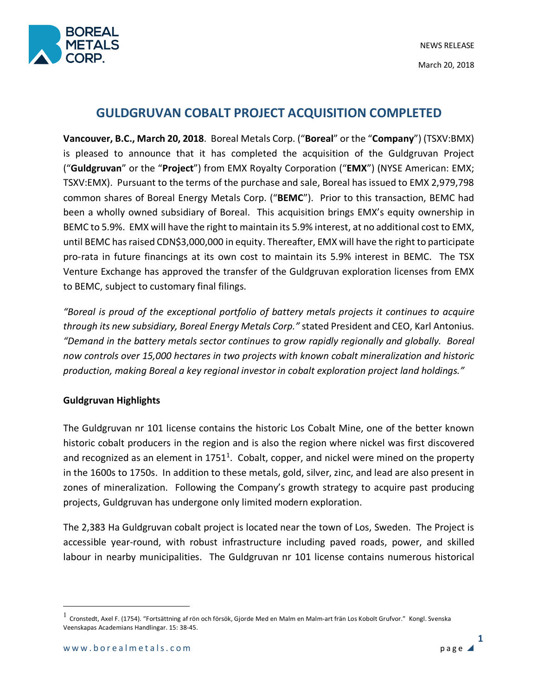

# **GULDGRUVAN COBALT PROJECT ACQUISITION COMPLETED**

**Vancouver, B.C., March 20, 2018**. Boreal Metals Corp. ("**Boreal**" or the "**Company**") (TSXV:BMX) is pleased to announce that it has completed the acquisition of the Guldgruvan Project ("**Guldgruvan**" or the "**Project**") from EMX Royalty Corporation ("**EMX**") (NYSE American: EMX; TSXV:EMX). Pursuant to the terms of the purchase and sale, Boreal has issued to EMX 2,979,798 common shares of Boreal Energy Metals Corp. ("**BEMC**"). Prior to this transaction, BEMC had been a wholly owned subsidiary of Boreal. This acquisition brings EMX's equity ownership in BEMC to 5.9%. EMX will have the right to maintain its 5.9% interest, at no additional cost to EMX, until BEMC has raised CDN\$3,000,000 in equity. Thereafter, EMX will have the right to participate pro-rata in future financings at its own cost to maintain its 5.9% interest in BEMC. The TSX Venture Exchange has approved the transfer of the Guldgruvan exploration licenses from EMX to BEMC, subject to customary final filings.

*"Boreal is proud of the exceptional portfolio of battery metals projects it continues to acquire through its new subsidiary, Boreal Energy Metals Corp."* stated President and CEO, Karl Antonius*. "Demand in the battery metals sector continues to grow rapidly regionally and globally. Boreal now controls over 15,000 hectares in two projects with known cobalt mineralization and historic production, making Boreal a key regional investor in cobalt exploration project land holdings."*

## **Guldgruvan Highlights**

The Guldgruvan nr 101 license contains the historic Los Cobalt Mine, one of the better known historic cobalt producers in the region and is also the region where nickel was first discovered and recognized as an element in  $1751<sup>1</sup>$ . Cobalt, copper, and nickel were mined on the property in the 1600s to 1750s. In addition to these metals, gold, silver, zinc, and lead are also present in zones of mineralization. Following the Company's growth strategy to acquire past producing projects, Guldgruvan has undergone only limited modern exploration.

The 2,383 Ha Guldgruvan cobalt project is located near the town of Los, Sweden. The Project is accessible year-round, with robust infrastructure including paved roads, power, and skilled labour in nearby municipalities. The Guldgruvan nr 101 license contains numerous historical

 $<sup>1</sup>$  Cronstedt, Axel F. (1754). "Fortsättning af rön och försök, Gjorde Med en Malm en Malm-art frän Los Kobolt Grufvor." Kongl. Svenska</sup> Veenskapas Academians Handlingar. 15: 38-45.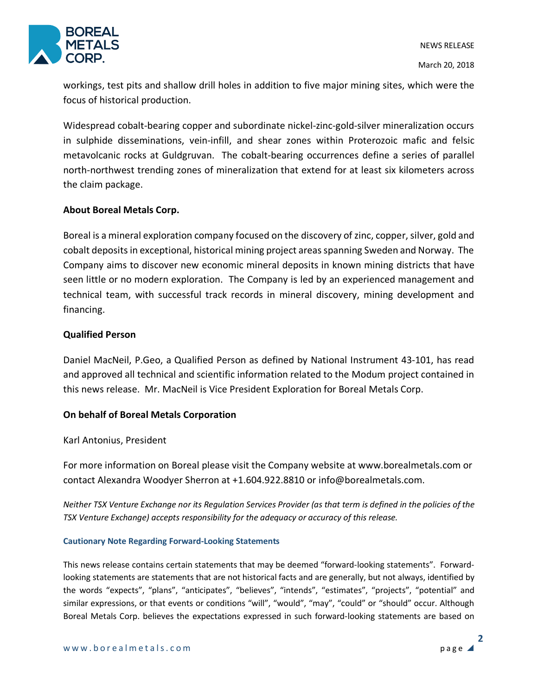

workings, test pits and shallow drill holes in addition to five major mining sites, which were the focus of historical production.

Widespread cobalt-bearing copper and subordinate nickel-zinc-gold-silver mineralization occurs in sulphide disseminations, vein-infill, and shear zones within Proterozoic mafic and felsic metavolcanic rocks at Guldgruvan. The cobalt-bearing occurrences define a series of parallel north-northwest trending zones of mineralization that extend for at least six kilometers across the claim package.

### **About Boreal Metals Corp.**

Boreal is a mineral exploration company focused on the discovery of zinc, copper, silver, gold and cobalt deposits in exceptional, historical mining project areas spanning Sweden and Norway. The Company aims to discover new economic mineral deposits in known mining districts that have seen little or no modern exploration. The Company is led by an experienced management and technical team, with successful track records in mineral discovery, mining development and financing.

#### **Qualified Person**

Daniel MacNeil, P.Geo, a Qualified Person as defined by National Instrument 43-101, has read and approved all technical and scientific information related to the Modum project contained in this news release. Mr. MacNeil is Vice President Exploration for Boreal Metals Corp.

## **On behalf of Boreal Metals Corporation**

#### Karl Antonius, President

For more information on Boreal please visit the Company website at www.borealmetals.com or contact Alexandra Woodyer Sherron at +1.604.922.8810 or info@borealmetals.com.

*Neither TSX Venture Exchange nor its Regulation Services Provider (as that term is defined in the policies of the TSX Venture Exchange) accepts responsibility for the adequacy or accuracy of this release.* 

#### **Cautionary Note Regarding Forward-Looking Statements**

This news release contains certain statements that may be deemed "forward-looking statements". Forwardlooking statements are statements that are not historical facts and are generally, but not always, identified by the words "expects", "plans", "anticipates", "believes", "intends", "estimates", "projects", "potential" and similar expressions, or that events or conditions "will", "would", "may", "could" or "should" occur. Although Boreal Metals Corp. believes the expectations expressed in such forward-looking statements are based on